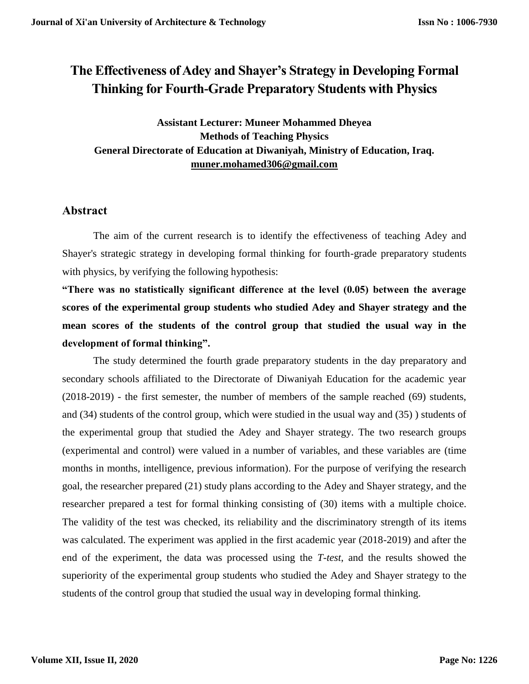# **The Effectiveness of Adey and Shayer's Strategy in Developing Formal Thinking for Fourth-Grade Preparatory Students with Physics**

**Assistant Lecturer: Muneer Mohammed Dheyea Methods of Teaching Physics General Directorate of Education at Diwaniyah, Ministry of Education, Iraq. [muner.mohamed306@gmail.com](mailto:muner.mohamed306@gmail.com)**

# **Abstract**

The aim of the current research is to identify the effectiveness of teaching Adey and Shayer's strategic strategy in developing formal thinking for fourth-grade preparatory students with physics, by verifying the following hypothesis:

**"There was no statistically significant difference at the level (0.05) between the average scores of the experimental group students who studied Adey and Shayer strategy and the mean scores of the students of the control group that studied the usual way in the development of formal thinking".**

The study determined the fourth grade preparatory students in the day preparatory and secondary schools affiliated to the Directorate of Diwaniyah Education for the academic year (2018-2019) - the first semester, the number of members of the sample reached (69) students, and (34) students of the control group, which were studied in the usual way and (35) ) students of the experimental group that studied the Adey and Shayer strategy. The two research groups (experimental and control) were valued in a number of variables, and these variables are (time months in months, intelligence, previous information). For the purpose of verifying the research goal, the researcher prepared (21) study plans according to the Adey and Shayer strategy, and the researcher prepared a test for formal thinking consisting of (30) items with a multiple choice. The validity of the test was checked, its reliability and the discriminatory strength of its items was calculated. The experiment was applied in the first academic year (2018-2019) and after the end of the experiment, the data was processed using the *T-test*, and the results showed the superiority of the experimental group students who studied the Adey and Shayer strategy to the students of the control group that studied the usual way in developing formal thinking.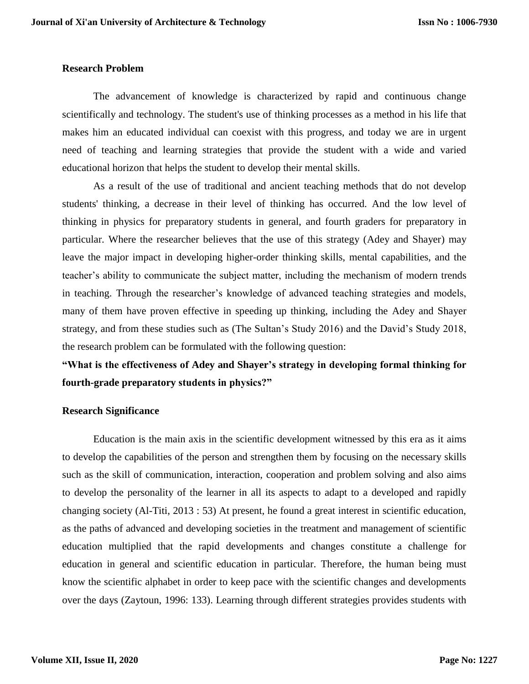#### **Research Problem**

The advancement of knowledge is characterized by rapid and continuous change scientifically and technology. The student's use of thinking processes as a method in his life that makes him an educated individual can coexist with this progress, and today we are in urgent need of teaching and learning strategies that provide the student with a wide and varied educational horizon that helps the student to develop their mental skills.

As a result of the use of traditional and ancient teaching methods that do not develop students' thinking, a decrease in their level of thinking has occurred. And the low level of thinking in physics for preparatory students in general, and fourth graders for preparatory in particular. Where the researcher believes that the use of this strategy (Adey and Shayer) may leave the major impact in developing higher-order thinking skills, mental capabilities, and the teacher's ability to communicate the subject matter, including the mechanism of modern trends in teaching. Through the researcher's knowledge of advanced teaching strategies and models, many of them have proven effective in speeding up thinking, including the Adey and Shayer strategy, and from these studies such as (The Sultan's Study 2016) and the David's Study 2018, the research problem can be formulated with the following question:

# **"What is the effectiveness of Adey and Shayer's strategy in developing formal thinking for fourth-grade preparatory students in physics?"**

#### **Research Significance**

Education is the main axis in the scientific development witnessed by this era as it aims to develop the capabilities of the person and strengthen them by focusing on the necessary skills such as the skill of communication, interaction, cooperation and problem solving and also aims to develop the personality of the learner in all its aspects to adapt to a developed and rapidly changing society (Al-Titi, 2013 : 53) At present, he found a great interest in scientific education, as the paths of advanced and developing societies in the treatment and management of scientific education multiplied that the rapid developments and changes constitute a challenge for education in general and scientific education in particular. Therefore, the human being must know the scientific alphabet in order to keep pace with the scientific changes and developments over the days (Zaytoun, 1996: 133). Learning through different strategies provides students with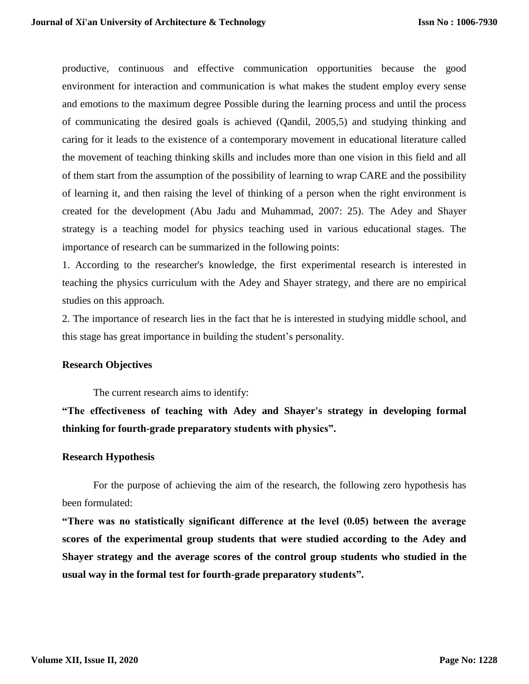productive, continuous and effective communication opportunities because the good environment for interaction and communication is what makes the student employ every sense and emotions to the maximum degree Possible during the learning process and until the process of communicating the desired goals is achieved (Qandil, 2005,5) and studying thinking and caring for it leads to the existence of a contemporary movement in educational literature called the movement of teaching thinking skills and includes more than one vision in this field and all of them start from the assumption of the possibility of learning to wrap CARE and the possibility of learning it, and then raising the level of thinking of a person when the right environment is created for the development (Abu Jadu and Muhammad, 2007: 25). The Adey and Shayer strategy is a teaching model for physics teaching used in various educational stages. The importance of research can be summarized in the following points:

1. According to the researcher's knowledge, the first experimental research is interested in teaching the physics curriculum with the Adey and Shayer strategy, and there are no empirical studies on this approach.

2. The importance of research lies in the fact that he is interested in studying middle school, and this stage has great importance in building the student's personality.

#### **Research Objectives**

The current research aims to identify:

**"The effectiveness of teaching with Adey and Shayer's strategy in developing formal thinking for fourth-grade preparatory students with physics".** 

#### **Research Hypothesis**

For the purpose of achieving the aim of the research, the following zero hypothesis has been formulated:

**"There was no statistically significant difference at the level (0.05) between the average scores of the experimental group students that were studied according to the Adey and Shayer strategy and the average scores of the control group students who studied in the usual way in the formal test for fourth-grade preparatory students".**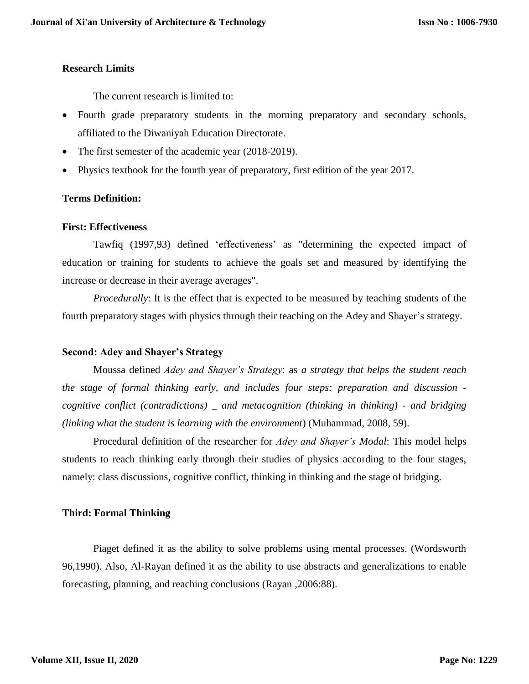#### **Research Limits**

The current research is limited to:

- Fourth grade preparatory students in the morning preparatory and secondary schools, affiliated to the Diwaniyah Education Directorate.
- The first semester of the academic year (2018-2019).
- Physics textbook for the fourth year of preparatory, first edition of the year 2017.

# **Terms Definition:**

#### **First: Effectiveness**

Tawfiq (1997,93) defined 'effectiveness' as "determining the expected impact of education or training for students to achieve the goals set and measured by identifying the increase or decrease in their average averages".

*Procedurally*: It is the effect that is expected to be measured by teaching students of the fourth preparatory stages with physics through their teaching on the Adey and Shayer's strategy.

# **Second: Adey and Shayer's Strategy**

Moussa defined *Adey and Shayer's Strategy*: as *a strategy that helps the student reach the stage of formal thinking early, and includes four steps: preparation and discussion cognitive conflict (contradictions) \_ and metacognition (thinking in thinking) - and bridging (linking what the student is learning with the environment*) (Muhammad, 2008, 59).

Procedural definition of the researcher for *Adey and Shayer's Modal*: This model helps students to reach thinking early through their studies of physics according to the four stages, namely: class discussions, cognitive conflict, thinking in thinking and the stage of bridging.

# **Third: Formal Thinking**

Piaget defined it as the ability to solve problems using mental processes. (Wordsworth 96,1990). Also, Al-Rayan defined it as the ability to use abstracts and generalizations to enable forecasting, planning, and reaching conclusions (Rayan ,2006:88).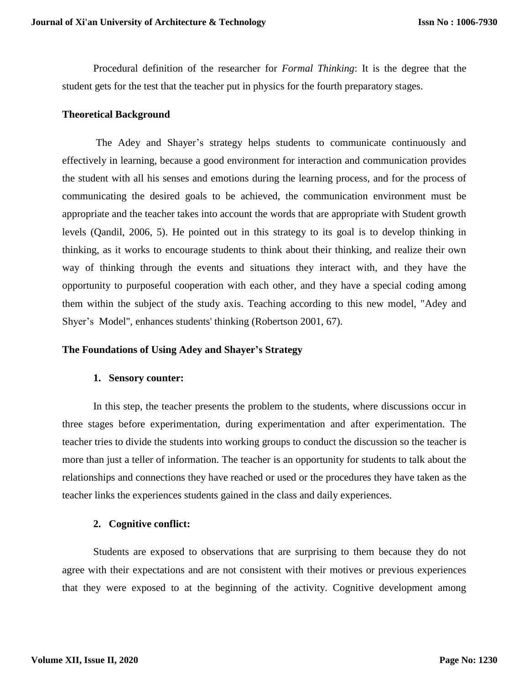Procedural definition of the researcher for *Formal Thinking*: It is the degree that the student gets for the test that the teacher put in physics for the fourth preparatory stages.

#### **Theoretical Background**

The Adey and Shayer's strategy helps students to communicate continuously and effectively in learning, because a good environment for interaction and communication provides the student with all his senses and emotions during the learning process, and for the process of communicating the desired goals to be achieved, the communication environment must be appropriate and the teacher takes into account the words that are appropriate with Student growth levels (Qandil, 2006, 5). He pointed out in this strategy to its goal is to develop thinking in thinking, as it works to encourage students to think about their thinking, and realize their own way of thinking through the events and situations they interact with, and they have the opportunity to purposeful cooperation with each other, and they have a special coding among them within the subject of the study axis. Teaching according to this new model, "Adey and Shyer's Model", enhances students' thinking (Robertson 2001, 67).

# **The Foundations of Using Adey and Shayer's Strategy**

#### **1. Sensory counter:**

In this step, the teacher presents the problem to the students, where discussions occur in three stages before experimentation, during experimentation and after experimentation. The teacher tries to divide the students into working groups to conduct the discussion so the teacher is more than just a teller of information. The teacher is an opportunity for students to talk about the relationships and connections they have reached or used or the procedures they have taken as the teacher links the experiences students gained in the class and daily experiences.

# **2. Cognitive conflict:**

Students are exposed to observations that are surprising to them because they do not agree with their expectations and are not consistent with their motives or previous experiences that they were exposed to at the beginning of the activity. Cognitive development among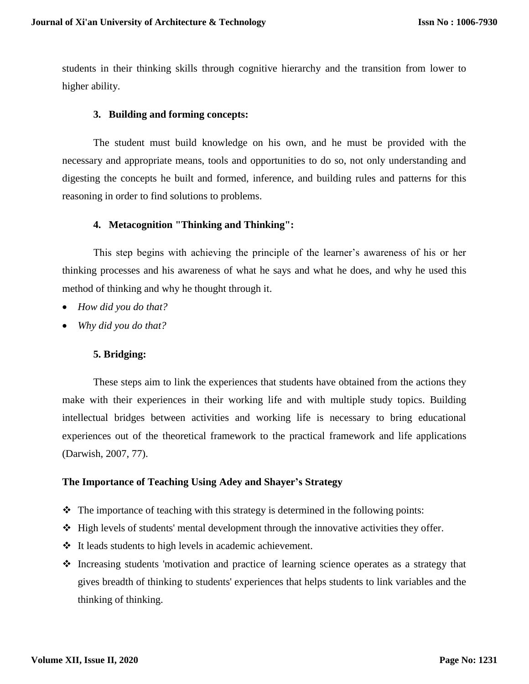students in their thinking skills through cognitive hierarchy and the transition from lower to higher ability.

#### **3. Building and forming concepts:**

The student must build knowledge on his own, and he must be provided with the necessary and appropriate means, tools and opportunities to do so, not only understanding and digesting the concepts he built and formed, inference, and building rules and patterns for this reasoning in order to find solutions to problems.

# **4. Metacognition "Thinking and Thinking":**

This step begins with achieving the principle of the learner's awareness of his or her thinking processes and his awareness of what he says and what he does, and why he used this method of thinking and why he thought through it.

- *How did you do that?*
- *Why did you do that?*

# **5. Bridging:**

These steps aim to link the experiences that students have obtained from the actions they make with their experiences in their working life and with multiple study topics. Building intellectual bridges between activities and working life is necessary to bring educational experiences out of the theoretical framework to the practical framework and life applications (Darwish, 2007, 77).

#### **The Importance of Teaching Using Adey and Shayer's Strategy**

- $\triangleleft$  The importance of teaching with this strategy is determined in the following points:
- $\div$  High levels of students' mental development through the innovative activities they offer.
- It leads students to high levels in academic achievement.
- $\cdot$  Increasing students 'motivation and practice of learning science operates as a strategy that gives breadth of thinking to students' experiences that helps students to link variables and the thinking of thinking.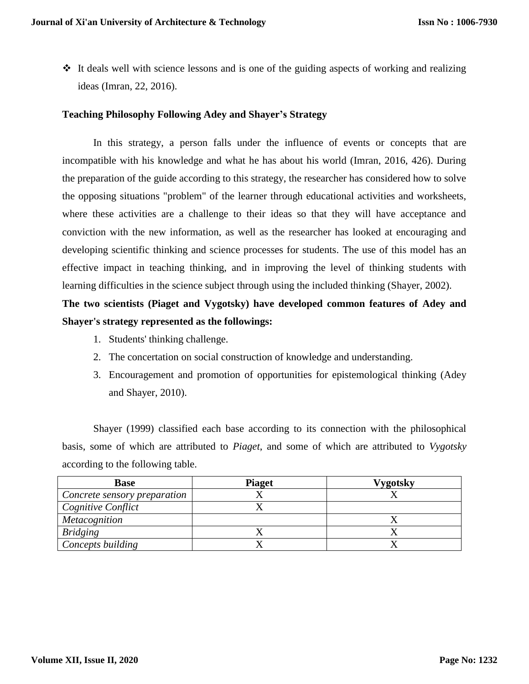It deals well with science lessons and is one of the guiding aspects of working and realizing ideas (Imran, 22, 2016).

# **Teaching Philosophy Following Adey and Shayer's Strategy**

In this strategy, a person falls under the influence of events or concepts that are incompatible with his knowledge and what he has about his world (Imran, 2016, 426). During the preparation of the guide according to this strategy, the researcher has considered how to solve the opposing situations "problem" of the learner through educational activities and worksheets, where these activities are a challenge to their ideas so that they will have acceptance and conviction with the new information, as well as the researcher has looked at encouraging and developing scientific thinking and science processes for students. The use of this model has an effective impact in teaching thinking, and in improving the level of thinking students with learning difficulties in the science subject through using the included thinking (Shayer, 2002).

**The two scientists (Piaget and Vygotsky) have developed common features of Adey and Shayer's strategy represented as the followings:**

- 1. Students' thinking challenge.
- 2. The concertation on social construction of knowledge and understanding.
- 3. Encouragement and promotion of opportunities for epistemological thinking (Adey and Shayer, 2010).

Shayer (1999) classified each base according to its connection with the philosophical basis, some of which are attributed to *Piaget*, and some of which are attributed to *Vygotsky* according to the following table.

| <b>Base</b>                  | <b>Piaget</b> | Vygotsky |
|------------------------------|---------------|----------|
| Concrete sensory preparation |               |          |
| Cognitive Conflict           |               |          |
| Metacognition                |               |          |
| <b>Bridging</b>              |               |          |
| Concepts building            |               |          |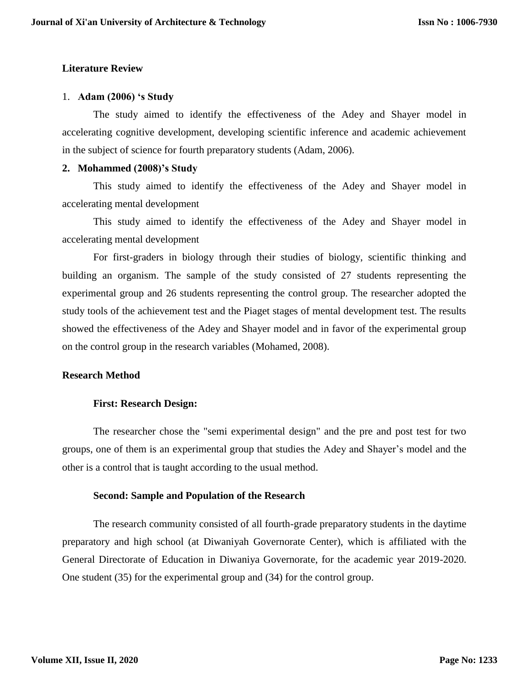# **Literature Review**

#### 1. **Adam (2006) 's Study**

The study aimed to identify the effectiveness of the Adey and Shayer model in accelerating cognitive development, developing scientific inference and academic achievement in the subject of science for fourth preparatory students (Adam, 2006).

#### **2. Mohammed (2008)'s Study**

This study aimed to identify the effectiveness of the Adey and Shayer model in accelerating mental development

This study aimed to identify the effectiveness of the Adey and Shayer model in accelerating mental development

For first-graders in biology through their studies of biology, scientific thinking and building an organism. The sample of the study consisted of 27 students representing the experimental group and 26 students representing the control group. The researcher adopted the study tools of the achievement test and the Piaget stages of mental development test. The results showed the effectiveness of the Adey and Shayer model and in favor of the experimental group on the control group in the research variables (Mohamed, 2008).

# **Research Method**

# **First: Research Design:**

The researcher chose the "semi experimental design" and the pre and post test for two groups, one of them is an experimental group that studies the Adey and Shayer's model and the other is a control that is taught according to the usual method.

#### **Second: Sample and Population of the Research**

The research community consisted of all fourth-grade preparatory students in the daytime preparatory and high school (at Diwaniyah Governorate Center), which is affiliated with the General Directorate of Education in Diwaniya Governorate, for the academic year 2019-2020. One student (35) for the experimental group and (34) for the control group.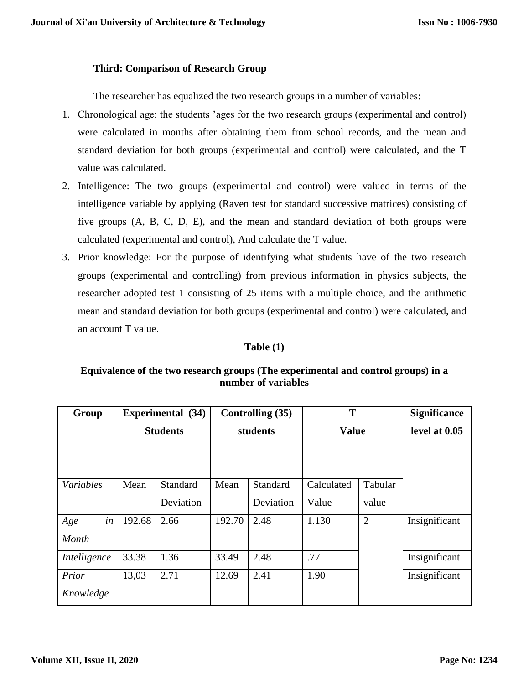# **Third: Comparison of Research Group**

The researcher has equalized the two research groups in a number of variables:

- 1. Chronological age: the students 'ages for the two research groups (experimental and control) were calculated in months after obtaining them from school records, and the mean and standard deviation for both groups (experimental and control) were calculated, and the T value was calculated.
- 2. Intelligence: The two groups (experimental and control) were valued in terms of the intelligence variable by applying (Raven test for standard successive matrices) consisting of five groups (A, B, C, D, E), and the mean and standard deviation of both groups were calculated (experimental and control), And calculate the T value.
- 3. Prior knowledge: For the purpose of identifying what students have of the two research groups (experimental and controlling) from previous information in physics subjects, the researcher adopted test 1 consisting of 25 items with a multiple choice, and the arithmetic mean and standard deviation for both groups (experimental and control) were calculated, and an account T value.

# **Table (1)**

# **Equivalence of the two research groups (The experimental and control groups) in a number of variables**

| Group        |        | <b>Experimental</b> (34) | Controlling (35) |           | T            |                | <b>Significance</b> |
|--------------|--------|--------------------------|------------------|-----------|--------------|----------------|---------------------|
|              |        | <b>Students</b>          | students         |           | <b>Value</b> |                | level at 0.05       |
|              |        |                          |                  |           |              |                |                     |
|              |        |                          |                  |           |              |                |                     |
| Variables    | Mean   | Standard                 | Mean             | Standard  | Calculated   | Tabular        |                     |
|              |        | Deviation                |                  | Deviation | Value        | value          |                     |
| in<br>Age    | 192.68 | 2.66                     | 192.70           | 2.48      | 1.130        | $\overline{2}$ | Insignificant       |
| Month        |        |                          |                  |           |              |                |                     |
| Intelligence | 33.38  | 1.36                     | 33.49            | 2.48      | .77          |                | Insignificant       |
| Prior        | 13,03  | 2.71                     | 12.69            | 2.41      | 1.90         |                | Insignificant       |
| Knowledge    |        |                          |                  |           |              |                |                     |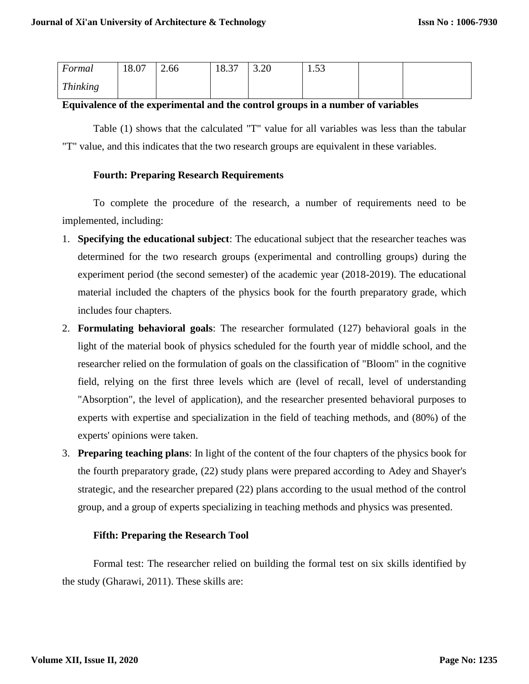| Formal          | 18.07 | 2.66 | 18.37 | 3.20 | 53<br>1.JJ |  |
|-----------------|-------|------|-------|------|------------|--|
| <b>Thinking</b> |       |      |       |      |            |  |

# **Equivalence of the experimental and the control groups in a number of variables**

Table (1) shows that the calculated "T" value for all variables was less than the tabular "T" value, and this indicates that the two research groups are equivalent in these variables.

# **Fourth: Preparing Research Requirements**

To complete the procedure of the research, a number of requirements need to be implemented, including:

- 1. **Specifying the educational subject**: The educational subject that the researcher teaches was determined for the two research groups (experimental and controlling groups) during the experiment period (the second semester) of the academic year (2018-2019). The educational material included the chapters of the physics book for the fourth preparatory grade, which includes four chapters.
- 2. **Formulating behavioral goals**: The researcher formulated (127) behavioral goals in the light of the material book of physics scheduled for the fourth year of middle school, and the researcher relied on the formulation of goals on the classification of "Bloom" in the cognitive field, relying on the first three levels which are (level of recall, level of understanding "Absorption", the level of application), and the researcher presented behavioral purposes to experts with expertise and specialization in the field of teaching methods, and (80%) of the experts' opinions were taken.
- 3. **Preparing teaching plans**: In light of the content of the four chapters of the physics book for the fourth preparatory grade, (22) study plans were prepared according to Adey and Shayer's strategic, and the researcher prepared (22) plans according to the usual method of the control group, and a group of experts specializing in teaching methods and physics was presented.

# **Fifth: Preparing the Research Tool**

Formal test: The researcher relied on building the formal test on six skills identified by the study (Gharawi, 2011). These skills are: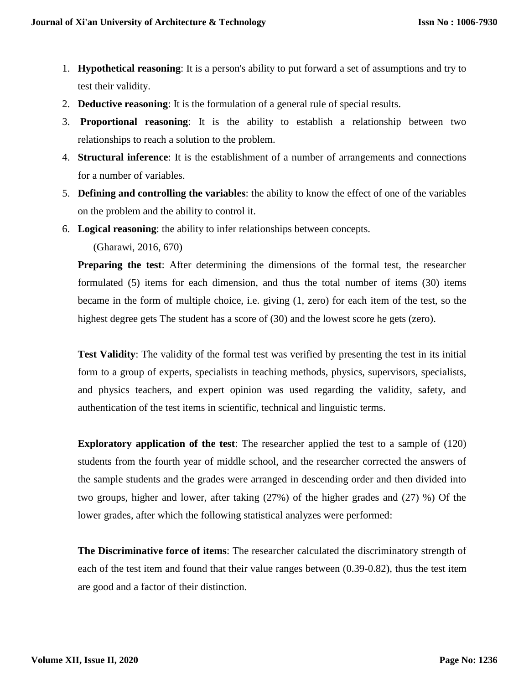- 1. **Hypothetical reasoning**: It is a person's ability to put forward a set of assumptions and try to test their validity.
- 2. **Deductive reasoning**: It is the formulation of a general rule of special results.
- 3. **Proportional reasoning**: It is the ability to establish a relationship between two relationships to reach a solution to the problem.
- 4. **Structural inference**: It is the establishment of a number of arrangements and connections for a number of variables.
- 5. **Defining and controlling the variables**: the ability to know the effect of one of the variables on the problem and the ability to control it.
- 6. **Logical reasoning**: the ability to infer relationships between concepts.

(Gharawi, 2016, 670)

**Preparing the test**: After determining the dimensions of the formal test, the researcher formulated (5) items for each dimension, and thus the total number of items (30) items became in the form of multiple choice, i.e. giving (1, zero) for each item of the test, so the highest degree gets The student has a score of (30) and the lowest score he gets (zero).

**Test Validity**: The validity of the formal test was verified by presenting the test in its initial form to a group of experts, specialists in teaching methods, physics, supervisors, specialists, and physics teachers, and expert opinion was used regarding the validity, safety, and authentication of the test items in scientific, technical and linguistic terms.

**Exploratory application of the test**: The researcher applied the test to a sample of (120) students from the fourth year of middle school, and the researcher corrected the answers of the sample students and the grades were arranged in descending order and then divided into two groups, higher and lower, after taking (27%) of the higher grades and (27) %) Of the lower grades, after which the following statistical analyzes were performed:

**The Discriminative force of items**: The researcher calculated the discriminatory strength of each of the test item and found that their value ranges between (0.39-0.82), thus the test item are good and a factor of their distinction.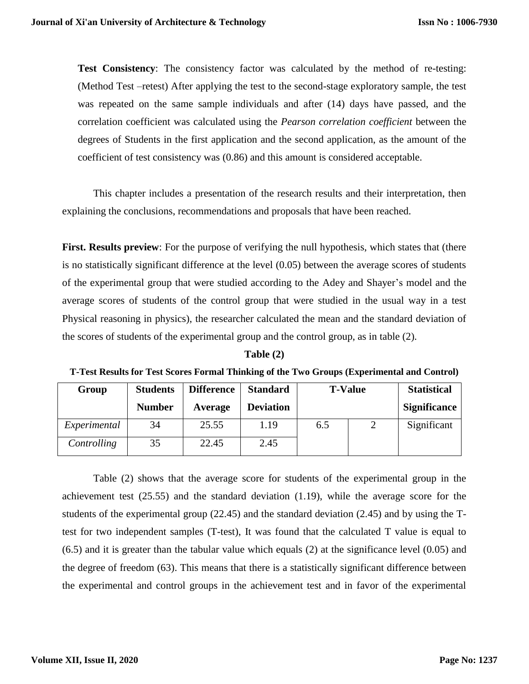**Test Consistency:** The consistency factor was calculated by the method of re-testing: (Method Test –retest) After applying the test to the second-stage exploratory sample, the test was repeated on the same sample individuals and after (14) days have passed, and the correlation coefficient was calculated using the *Pearson correlation coefficient* between the degrees of Students in the first application and the second application, as the amount of the coefficient of test consistency was (0.86) and this amount is considered acceptable.

This chapter includes a presentation of the research results and their interpretation, then explaining the conclusions, recommendations and proposals that have been reached.

**First. Results preview**: For the purpose of verifying the null hypothesis, which states that (there is no statistically significant difference at the level (0.05) between the average scores of students of the experimental group that were studied according to the Adey and Shayer's model and the average scores of students of the control group that were studied in the usual way in a test Physical reasoning in physics), the researcher calculated the mean and the standard deviation of the scores of students of the experimental group and the control group, as in table (2).

| fable († |  |
|----------|--|
|----------|--|

| T-Test Results for Test Scores Formal Thinking of the Two Groups (Experimental and Control) |  |  |  |
|---------------------------------------------------------------------------------------------|--|--|--|
|                                                                                             |  |  |  |

| Group        | <b>Students</b> | <b>Difference</b> | <b>Standard</b>  | <b>T-Value</b> |   | <b>Statistical</b>  |
|--------------|-----------------|-------------------|------------------|----------------|---|---------------------|
|              | <b>Number</b>   | Average           | <b>Deviation</b> |                |   | <b>Significance</b> |
| Experimental | 34              | 25.55             | 1.19             | 6.5            | 2 | Significant         |
| Controlling  | 35              | 22.45             | 2.45             |                |   |                     |

Table (2) shows that the average score for students of the experimental group in the achievement test (25.55) and the standard deviation (1.19), while the average score for the students of the experimental group (22.45) and the standard deviation (2.45) and by using the Ttest for two independent samples (T-test), It was found that the calculated T value is equal to (6.5) and it is greater than the tabular value which equals (2) at the significance level (0.05) and the degree of freedom (63). This means that there is a statistically significant difference between the experimental and control groups in the achievement test and in favor of the experimental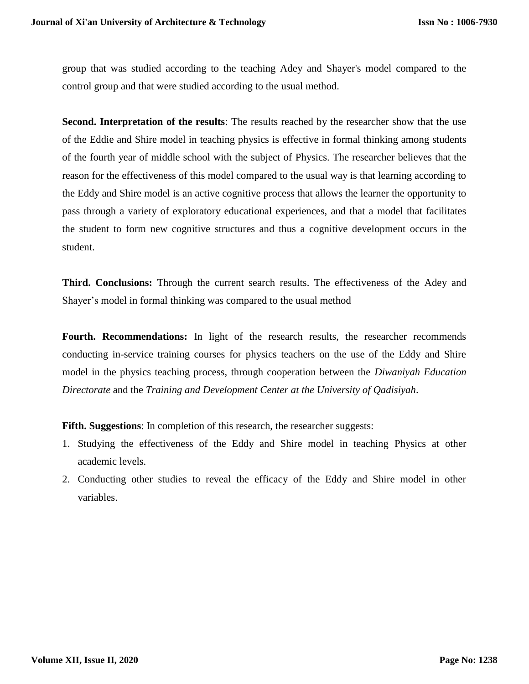group that was studied according to the teaching Adey and Shayer's model compared to the control group and that were studied according to the usual method.

**Second. Interpretation of the results**: The results reached by the researcher show that the use of the Eddie and Shire model in teaching physics is effective in formal thinking among students of the fourth year of middle school with the subject of Physics. The researcher believes that the reason for the effectiveness of this model compared to the usual way is that learning according to the Eddy and Shire model is an active cognitive process that allows the learner the opportunity to pass through a variety of exploratory educational experiences, and that a model that facilitates the student to form new cognitive structures and thus a cognitive development occurs in the student.

**Third. Conclusions:** Through the current search results. The effectiveness of the Adey and Shayer's model in formal thinking was compared to the usual method

Fourth. Recommendations: In light of the research results, the researcher recommends conducting in-service training courses for physics teachers on the use of the Eddy and Shire model in the physics teaching process, through cooperation between the *Diwaniyah Education Directorate* and the *Training and Development Center at the University of Qadisiyah*.

**Fifth. Suggestions**: In completion of this research, the researcher suggests:

- 1. Studying the effectiveness of the Eddy and Shire model in teaching Physics at other academic levels.
- 2. Conducting other studies to reveal the efficacy of the Eddy and Shire model in other variables.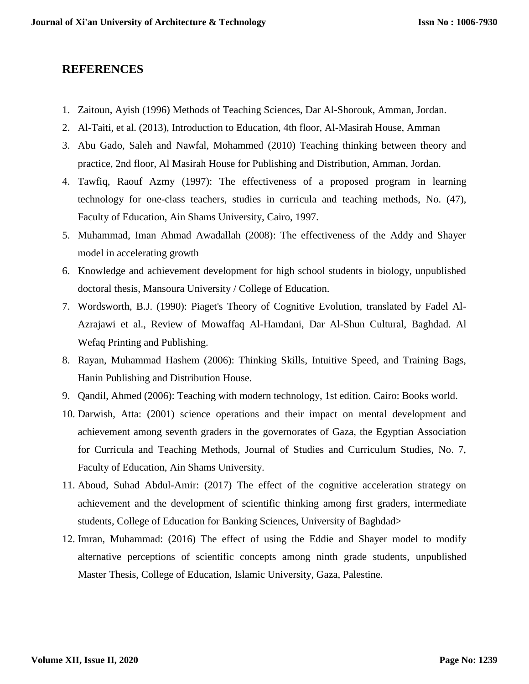# **REFERENCES**

- 1. Zaitoun, Ayish (1996) Methods of Teaching Sciences, Dar Al-Shorouk, Amman, Jordan.
- 2. Al-Taiti, et al. (2013), Introduction to Education, 4th floor, Al-Masirah House, Amman
- 3. Abu Gado, Saleh and Nawfal, Mohammed (2010) Teaching thinking between theory and practice, 2nd floor, Al Masirah House for Publishing and Distribution, Amman, Jordan.
- 4. Tawfiq, Raouf Azmy (1997): The effectiveness of a proposed program in learning technology for one-class teachers, studies in curricula and teaching methods, No. (47), Faculty of Education, Ain Shams University, Cairo, 1997.
- 5. Muhammad, Iman Ahmad Awadallah (2008): The effectiveness of the Addy and Shayer model in accelerating growth
- 6. Knowledge and achievement development for high school students in biology, unpublished doctoral thesis, Mansoura University / College of Education.
- 7. Wordsworth, B.J. (1990): Piaget's Theory of Cognitive Evolution, translated by Fadel Al-Azrajawi et al., Review of Mowaffaq Al-Hamdani, Dar Al-Shun Cultural, Baghdad. Al Wefaq Printing and Publishing.
- 8. Rayan, Muhammad Hashem (2006): Thinking Skills, Intuitive Speed, and Training Bags, Hanin Publishing and Distribution House.
- 9. Qandil, Ahmed (2006): Teaching with modern technology, 1st edition. Cairo: Books world.
- 10. Darwish, Atta: (2001) science operations and their impact on mental development and achievement among seventh graders in the governorates of Gaza, the Egyptian Association for Curricula and Teaching Methods, Journal of Studies and Curriculum Studies, No. 7, Faculty of Education, Ain Shams University.
- 11. Aboud, Suhad Abdul-Amir: (2017) The effect of the cognitive acceleration strategy on achievement and the development of scientific thinking among first graders, intermediate students, College of Education for Banking Sciences, University of Baghdad>
- 12. Imran, Muhammad: (2016) The effect of using the Eddie and Shayer model to modify alternative perceptions of scientific concepts among ninth grade students, unpublished Master Thesis, College of Education, Islamic University, Gaza, Palestine.